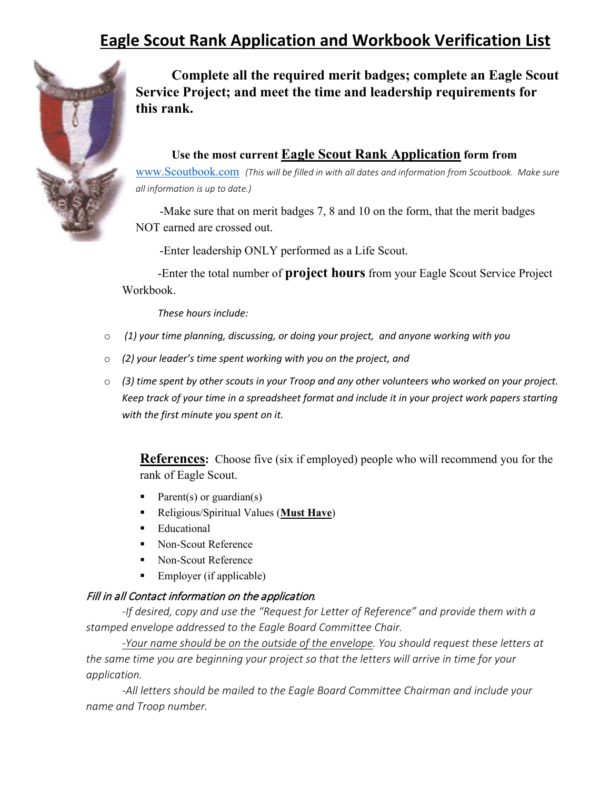# **Eagle Scout Rank Application and Workbook Verification List**



**Complete all the required merit badges; complete an Eagle Scout Service Project; and meet the time and leadership requirements for this rank.**

## **Use the most current Eagle Scout Rank Application form from**

[www.Scoutbook.com](http://www.scoutbook.com/) *(This will be filled in with all dates and information from Scoutbook. Make sure all information is up to date.)*

 -Make sure that on merit badges 7, 8 and 10 on the form, that the merit badges NOT earned are crossed out.

-Enter leadership ONLY performed as a Life Scout.

-Enter the total number of **project hours** from your Eagle Scout Service Project Workbook.

*These hours include:*

- o *(1) your time planning, discussing, or doing your project, and anyone working with you*
- o *(2) your leader's time spent working with you on the project, and*
- o *(3) time spent by other scouts in your Troop and any other volunteers who worked on your project. Keep track of your time in a spreadsheet format and include it in your project work papers starting with the first minute you spent on it.*

**References:** Choose five (six if employed) people who will recommend you for the rank of Eagle Scout.

- Parent(s) or guardian(s)
- Religious/Spiritual Values (**Must Have**)
- **Educational**
- Non-Scout Reference
- Non-Scout Reference
- $\blacksquare$  Employer (if applicable)

#### Fill in all Contact information on the application*.*

*-If desired, copy and use the "Request for Letter of Reference" and provide them with a stamped envelope addressed to the Eagle Board Committee Chair.* 

*-Your name should be on the outside of the envelope. You should request these letters at the same time you are beginning your project so that the letters will arrive in time for your application.* 

*-All letters should be mailed to the Eagle Board Committee Chairman and include your name and Troop number.*